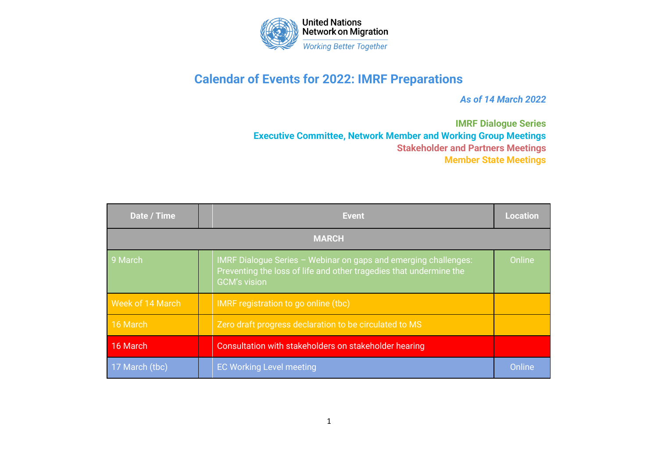

## **Calendar of Events for 2022: IMRF Preparations**

*As of 14 March 2022*

**IMRF Dialogue Series Executive Committee, Network Member and Working Group Meetings Stakeholder and Partners Meetings Member State Meetings**

| Date / Time      |  | <b>Event</b>                                                                                                                                                 | <b>Location</b> |  |
|------------------|--|--------------------------------------------------------------------------------------------------------------------------------------------------------------|-----------------|--|
| <b>MARCH</b>     |  |                                                                                                                                                              |                 |  |
| 9 March          |  | IMRF Dialogue Series - Webinar on gaps and emerging challenges:<br>Preventing the loss of life and other tragedies that undermine the<br><b>GCM's vision</b> | Online          |  |
| Week of 14 March |  | IMRF registration to go online (tbc)                                                                                                                         |                 |  |
| 16 March         |  | Zero draft progress declaration to be circulated to MS                                                                                                       |                 |  |
| 16 March         |  | Consultation with stakeholders on stakeholder hearing                                                                                                        |                 |  |
| 17 March (tbc)   |  | <b>EC Working Level meeting</b>                                                                                                                              | Online          |  |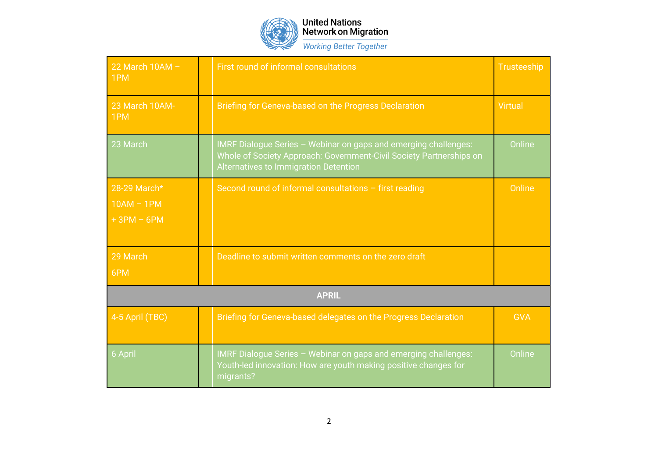

## United Nations<br>Network on Migration **Working Better Together**

| 22 March $10AM -$<br>1PM                     |  | First round of informal consultations                                                                                                                                           | <b>Trusteeship</b> |  |
|----------------------------------------------|--|---------------------------------------------------------------------------------------------------------------------------------------------------------------------------------|--------------------|--|
| 23 March 10AM-<br>1PM                        |  | Briefing for Geneva-based on the Progress Declaration                                                                                                                           | <b>Virtual</b>     |  |
| 23 March                                     |  | IMRF Dialogue Series - Webinar on gaps and emerging challenges:<br>Whole of Society Approach: Government-Civil Society Partnerships on<br>Alternatives to Immigration Detention | Online             |  |
| 28-29 March*<br>$10AM - 1PM$<br>$+3PM - 6PM$ |  | Second round of informal consultations - first reading                                                                                                                          | Online             |  |
| 29 March<br>6PM                              |  | Deadline to submit written comments on the zero draft                                                                                                                           |                    |  |
| <b>APRIL</b>                                 |  |                                                                                                                                                                                 |                    |  |
| 4-5 April (TBC)                              |  | Briefing for Geneva-based delegates on the Progress Declaration                                                                                                                 | <b>GVA</b>         |  |
| 6 April                                      |  | IMRF Dialogue Series - Webinar on gaps and emerging challenges:<br>Youth-led innovation: How are youth making positive changes for<br>migrants?                                 | Online             |  |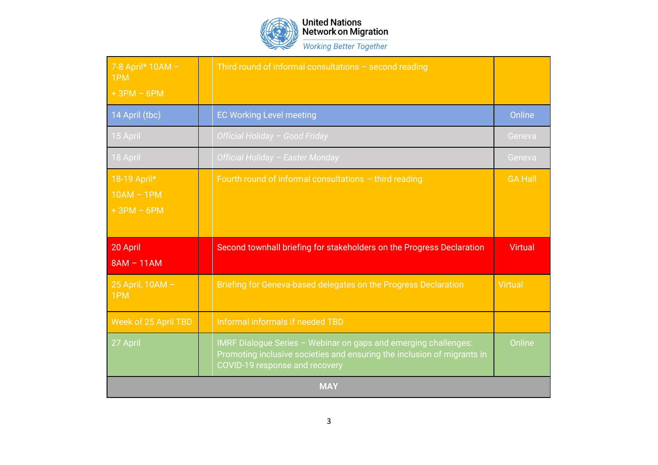

United Nations<br>Network on Migration **Working Better Together** 

| 7-8 April* 10AM -<br>1PM                     |  | Third round of informal consultations $-$ second reading                                                                                                                     |                |
|----------------------------------------------|--|------------------------------------------------------------------------------------------------------------------------------------------------------------------------------|----------------|
| $+3PM - 6PM$                                 |  |                                                                                                                                                                              |                |
| 14 April (tbc)                               |  | <b>EC Working Level meeting</b>                                                                                                                                              | Online         |
| 15 April                                     |  | Official Holiday - Good Friday                                                                                                                                               | Geneva         |
| 18 April                                     |  | Official Holiday - Easter Monday                                                                                                                                             | Geneva         |
| 18-19 April*<br>$10AM - 1PM$<br>$+3PM - 6PM$ |  | Fourth round of informal consultations $-$ third reading                                                                                                                     | <b>GA Hall</b> |
| 20 April<br>$8AM - 11AM$                     |  | Second townhall briefing for stakeholders on the Progress Declaration                                                                                                        | <b>Virtual</b> |
| 25 April, 10AM -<br>1PM                      |  | Briefing for Geneva-based delegates on the Progress Declaration                                                                                                              | <b>Virtual</b> |
| Week of 25 April TBD                         |  | <b>Informal informals if needed TBD</b>                                                                                                                                      |                |
| 27 April                                     |  | IMRF Dialogue Series - Webinar on gaps and emerging challenges:<br>Promoting inclusive societies and ensuring the inclusion of migrants in<br>COVID-19 response and recovery | Online         |
| <b>MAY</b>                                   |  |                                                                                                                                                                              |                |